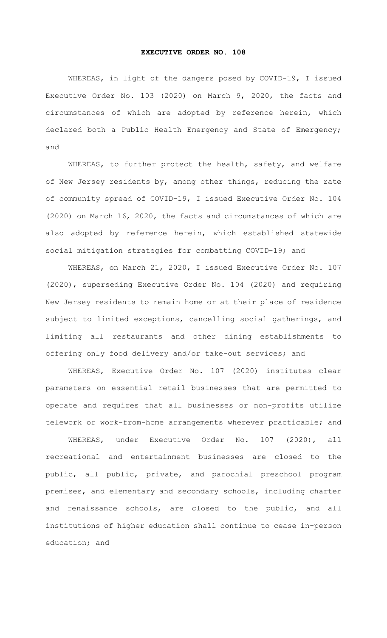## EXECUTIVE ORDER NO. 108

WHEREAS, in light of the dangers posed by COVID-19, I issued Executive Order No. 103 (2020) on March 9, 2020, the facts and circumstances of which are adopted by reference herein, which declared both a Public Health Emergency and State of Emergency; and

WHEREAS, to further protect the health, safety, and welfare of New Jersey residents by, among other things, reducing the rate of community spread of COVID-19, I issued Executive Order No. 104 (2020) on March 16, 2020, the facts and circumstances of which are also adopted by reference herein, which established statewide social mitigation strategies for combatting COVID-19; and

 WHEREAS, on March 21, 2020, I issued Executive Order No. 107 (2020), superseding Executive Order No. 104 (2020) and requiring New Jersey residents to remain home or at their place of residence subject to limited exceptions, cancelling social gatherings, and limiting all restaurants and other dining establishments to offering only food delivery and/or take-out services; and

WHEREAS, Executive Order No. 107 (2020) institutes clear parameters on essential retail businesses that are permitted to operate and requires that all businesses or non-profits utilize telework or work-from-home arrangements wherever practicable; and

 WHEREAS, under Executive Order No. 107 (2020), all recreational and entertainment businesses are closed to the public, all public, private, and parochial preschool program premises, and elementary and secondary schools, including charter and renaissance schools, are closed to the public, and all institutions of higher education shall continue to cease in-person education; and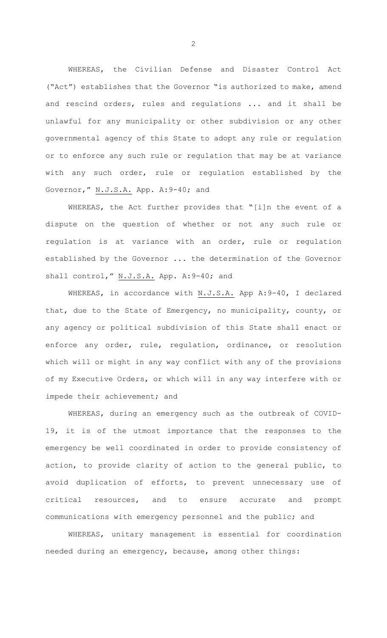WHEREAS, the Civilian Defense and Disaster Control Act ("Act") establishes that the Governor "is authorized to make, amend and rescind orders, rules and regulations ... and it shall be unlawful for any municipality or other subdivision or any other governmental agency of this State to adopt any rule or regulation or to enforce any such rule or regulation that may be at variance with any such order, rule or regulation established by the Governor," N.J.S.A. App. A:9-40; and

WHEREAS, the Act further provides that "[i]n the event of a dispute on the question of whether or not any such rule or regulation is at variance with an order, rule or regulation established by the Governor ... the determination of the Governor shall control," N.J.S.A. App. A:9-40; and

WHEREAS, in accordance with N.J.S.A. App A:9-40, I declared that, due to the State of Emergency, no municipality, county, or any agency or political subdivision of this State shall enact or enforce any order, rule, regulation, ordinance, or resolution which will or might in any way conflict with any of the provisions of my Executive Orders, or which will in any way interfere with or impede their achievement; and

WHEREAS, during an emergency such as the outbreak of COVID-19, it is of the utmost importance that the responses to the emergency be well coordinated in order to provide consistency of action, to provide clarity of action to the general public, to avoid duplication of efforts, to prevent unnecessary use of critical resources, and to ensure accurate and prompt communications with emergency personnel and the public; and

WHEREAS, unitary management is essential for coordination needed during an emergency, because, among other things:

2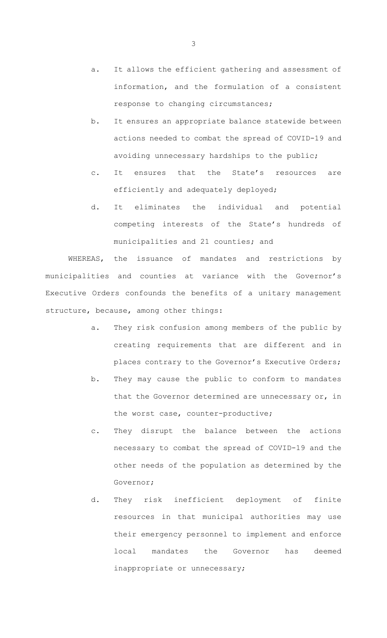- a. It allows the efficient gathering and assessment of information, and the formulation of a consistent response to changing circumstances;
- b. It ensures an appropriate balance statewide between actions needed to combat the spread of COVID-19 and avoiding unnecessary hardships to the public;
- c. It ensures that the State's resources are efficiently and adequately deployed;
- d. It eliminates the individual and potential competing interests of the State's hundreds of municipalities and 21 counties; and

 WHEREAS, the issuance of mandates and restrictions by municipalities and counties at variance with the Governor's Executive Orders confounds the benefits of a unitary management structure, because, among other things:

- a. They risk confusion among members of the public by creating requirements that are different and in places contrary to the Governor's Executive Orders;
- b. They may cause the public to conform to mandates that the Governor determined are unnecessary or, in the worst case, counter-productive;
- c. They disrupt the balance between the actions necessary to combat the spread of COVID-19 and the other needs of the population as determined by the Governor;
- d. They risk inefficient deployment of finite resources in that municipal authorities may use their emergency personnel to implement and enforce local mandates the Governor has deemed inappropriate or unnecessary;

3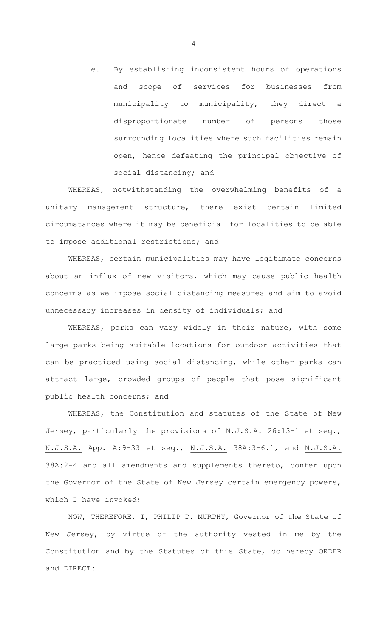e. By establishing inconsistent hours of operations and scope of services for businesses from municipality to municipality, they direct a disproportionate number of persons those surrounding localities where such facilities remain open, hence defeating the principal objective of social distancing; and

 WHEREAS, notwithstanding the overwhelming benefits of a unitary management structure, there exist certain limited circumstances where it may be beneficial for localities to be able to impose additional restrictions; and

 WHEREAS, certain municipalities may have legitimate concerns about an influx of new visitors, which may cause public health concerns as we impose social distancing measures and aim to avoid unnecessary increases in density of individuals; and

 WHEREAS, parks can vary widely in their nature, with some large parks being suitable locations for outdoor activities that can be practiced using social distancing, while other parks can attract large, crowded groups of people that pose significant public health concerns; and

WHEREAS, the Constitution and statutes of the State of New Jersey, particularly the provisions of N.J.S.A. 26:13-1 et seq., N.J.S.A. App. A: 9-33 et seq., N.J.S.A. 38A: 3-6.1, and N.J.S.A. 38A:2-4 and all amendments and supplements thereto, confer upon the Governor of the State of New Jersey certain emergency powers, which I have invoked;

 NOW, THEREFORE, I, PHILIP D. MURPHY, Governor of the State of New Jersey, by virtue of the authority vested in me by the Constitution and by the Statutes of this State, do hereby ORDER and DIRECT: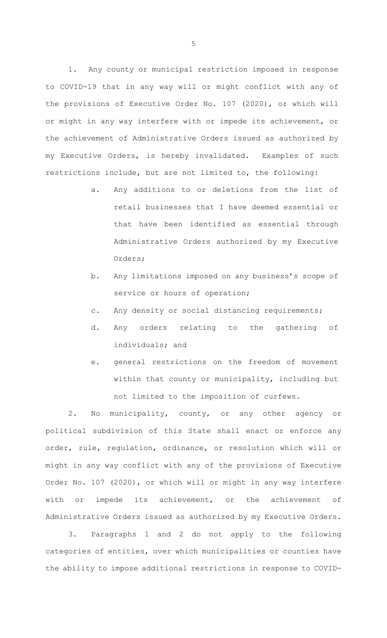1. Any county or municipal restriction imposed in response to COVID-19 that in any way will or might conflict with any of the provisions of Executive Order No. 107 (2020), or which will or might in any way interfere with or impede its achievement, or the achievement of Administrative Orders issued as authorized by my Executive Orders, is hereby invalidated. Examples of such restrictions include, but are not limited to, the following:

- a. Any additions to or deletions from the list of retail businesses that I have deemed essential or that have been identified as essential through Administrative Orders authorized by my Executive Orders;
- b. Any limitations imposed on any business's scope of service or hours of operation;
- c. Any density or social distancing requirements;
- d. Any orders relating to the gathering of individuals; and
- e. general restrictions on the freedom of movement within that county or municipality, including but not limited to the imposition of curfews.

2. No municipality, county, or any other agency or political subdivision of this State shall enact or enforce any order, rule, regulation, ordinance, or resolution which will or might in any way conflict with any of the provisions of Executive Order No. 107 (2020), or which will or might in any way interfere with or impede its achievement, or the achievement of Administrative Orders issued as authorized by my Executive Orders.

3. Paragraphs 1 and 2 do not apply to the following categories of entities, over which municipalities or counties have the ability to impose additional restrictions in response to COVID-

5